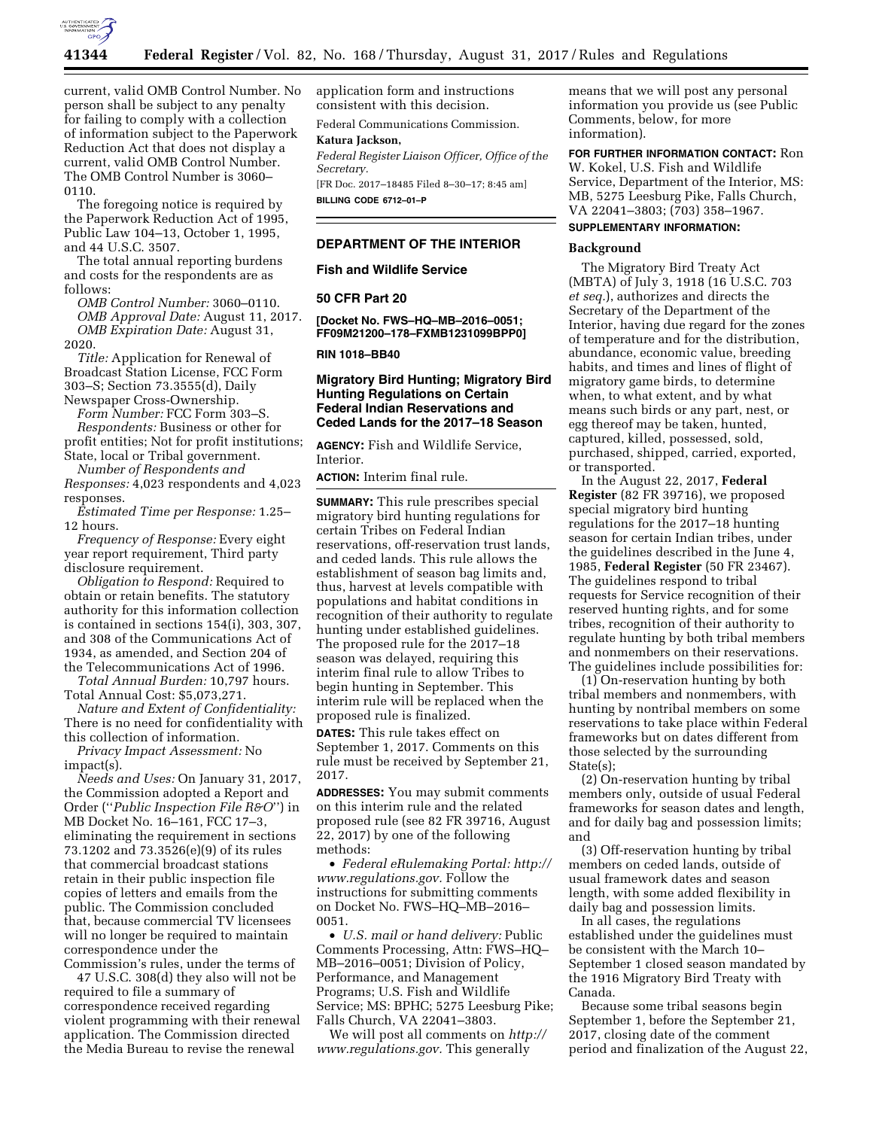

current, valid OMB Control Number. No person shall be subject to any penalty for failing to comply with a collection of information subject to the Paperwork Reduction Act that does not display a current, valid OMB Control Number. The OMB Control Number is 3060– 0110.

The foregoing notice is required by the Paperwork Reduction Act of 1995, Public Law 104–13, October 1, 1995, and 44 U.S.C. 3507.

The total annual reporting burdens and costs for the respondents are as follows:

*OMB Control Number:* 3060–0110. *OMB Approval Date:* August 11, 2017. *OMB Expiration Date:* August 31, 2020.

*Title:* Application for Renewal of Broadcast Station License, FCC Form 303–S; Section 73.3555(d), Daily Newspaper Cross-Ownership.

*Form Number:* FCC Form 303–S. *Respondents:* Business or other for profit entities; Not for profit institutions; State, local or Tribal government.

*Number of Respondents and Responses:* 4,023 respondents and 4,023 responses.

*Estimated Time per Response:* 1.25– 12 hours.

*Frequency of Response:* Every eight year report requirement, Third party disclosure requirement.

*Obligation to Respond:* Required to obtain or retain benefits. The statutory authority for this information collection is contained in sections 154(i), 303, 307, and 308 of the Communications Act of 1934, as amended, and Section 204 of the Telecommunications Act of 1996.

*Total Annual Burden:* 10,797 hours. Total Annual Cost: \$5,073,271.

*Nature and Extent of Confidentiality:*  There is no need for confidentiality with this collection of information.

*Privacy Impact Assessment:* No impact(s).

*Needs and Uses:* On January 31, 2017, the Commission adopted a Report and Order (''*Public Inspection File R&O*'') in MB Docket No. 16–161, FCC 17–3, eliminating the requirement in sections 73.1202 and 73.3526(e)(9) of its rules that commercial broadcast stations retain in their public inspection file copies of letters and emails from the public. The Commission concluded that, because commercial TV licensees will no longer be required to maintain correspondence under the Commission's rules, under the terms of

47 U.S.C. 308(d) they also will not be required to file a summary of correspondence received regarding violent programming with their renewal application. The Commission directed the Media Bureau to revise the renewal

application form and instructions consistent with this decision.

Federal Communications Commission.

### **Katura Jackson,**

*Federal Register Liaison Officer, Office of the Secretary.* 

[FR Doc. 2017–18485 Filed 8–30–17; 8:45 am] **BILLING CODE 6712–01–P** 

### **DEPARTMENT OF THE INTERIOR**

### **Fish and Wildlife Service**

### **50 CFR Part 20**

**[Docket No. FWS–HQ–MB–2016–0051; FF09M21200–178–FXMB1231099BPP0]** 

### **RIN 1018–BB40**

### **Migratory Bird Hunting; Migratory Bird Hunting Regulations on Certain Federal Indian Reservations and Ceded Lands for the 2017–18 Season**

**AGENCY:** Fish and Wildlife Service, Interior.

**ACTION:** Interim final rule.

**SUMMARY:** This rule prescribes special migratory bird hunting regulations for certain Tribes on Federal Indian reservations, off-reservation trust lands, and ceded lands. This rule allows the establishment of season bag limits and, thus, harvest at levels compatible with populations and habitat conditions in recognition of their authority to regulate hunting under established guidelines. The proposed rule for the 2017–18 season was delayed, requiring this interim final rule to allow Tribes to begin hunting in September. This interim rule will be replaced when the proposed rule is finalized.

**DATES:** This rule takes effect on September 1, 2017. Comments on this rule must be received by September 21, 2017.

**ADDRESSES:** You may submit comments on this interim rule and the related proposed rule (see 82 FR 39716, August 22, 2017) by one of the following methods:

• *Federal eRulemaking Portal: [http://](http://www.regulations.gov)  [www.regulations.gov.](http://www.regulations.gov)* Follow the instructions for submitting comments on Docket No. FWS–HQ–MB–2016– 0051.

• *U.S. mail or hand delivery:* Public Comments Processing, Attn: FWS–HQ– MB–2016–0051; Division of Policy, Performance, and Management Programs; U.S. Fish and Wildlife Service; MS: BPHC; 5275 Leesburg Pike; Falls Church, VA 22041–3803.

We will post all comments on *[http://](http://www.regulations.gov) [www.regulations.gov.](http://www.regulations.gov)* This generally

means that we will post any personal information you provide us (see Public Comments, below, for more information).

**FOR FURTHER INFORMATION CONTACT:** Ron W. Kokel, U.S. Fish and Wildlife Service, Department of the Interior, MS: MB, 5275 Leesburg Pike, Falls Church, VA 22041–3803; (703) 358–1967.

# **SUPPLEMENTARY INFORMATION:**

### **Background**

The Migratory Bird Treaty Act (MBTA) of July 3, 1918 (16 U.S.C. 703 *et seq.*), authorizes and directs the Secretary of the Department of the Interior, having due regard for the zones of temperature and for the distribution, abundance, economic value, breeding habits, and times and lines of flight of migratory game birds, to determine when, to what extent, and by what means such birds or any part, nest, or egg thereof may be taken, hunted, captured, killed, possessed, sold, purchased, shipped, carried, exported, or transported.

In the August 22, 2017, **Federal Register** (82 FR 39716), we proposed special migratory bird hunting regulations for the 2017–18 hunting season for certain Indian tribes, under the guidelines described in the June 4, 1985, **Federal Register** (50 FR 23467). The guidelines respond to tribal requests for Service recognition of their reserved hunting rights, and for some tribes, recognition of their authority to regulate hunting by both tribal members and nonmembers on their reservations. The guidelines include possibilities for:

(1) On-reservation hunting by both tribal members and nonmembers, with hunting by nontribal members on some reservations to take place within Federal frameworks but on dates different from those selected by the surrounding State(s);

(2) On-reservation hunting by tribal members only, outside of usual Federal frameworks for season dates and length, and for daily bag and possession limits; and

(3) Off-reservation hunting by tribal members on ceded lands, outside of usual framework dates and season length, with some added flexibility in daily bag and possession limits.

In all cases, the regulations established under the guidelines must be consistent with the March 10– September 1 closed season mandated by the 1916 Migratory Bird Treaty with Canada.

Because some tribal seasons begin September 1, before the September 21, 2017, closing date of the comment period and finalization of the August 22,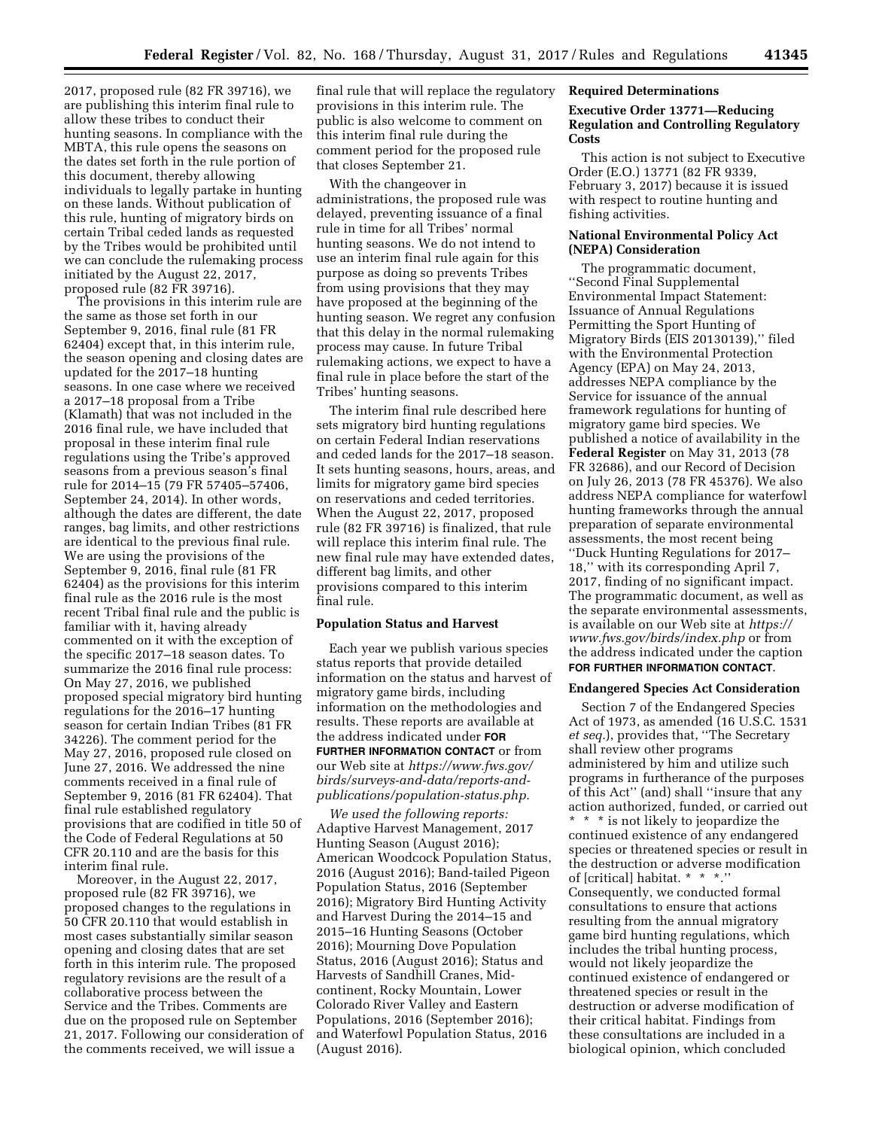2017, proposed rule (82 FR 39716), we are publishing this interim final rule to allow these tribes to conduct their hunting seasons. In compliance with the MBTA, this rule opens the seasons on the dates set forth in the rule portion of this document, thereby allowing individuals to legally partake in hunting on these lands. Without publication of this rule, hunting of migratory birds on certain Tribal ceded lands as requested by the Tribes would be prohibited until we can conclude the rulemaking process initiated by the August 22, 2017, proposed rule (82 FR 39716).

The provisions in this interim rule are the same as those set forth in our September 9, 2016, final rule (81 FR 62404) except that, in this interim rule, the season opening and closing dates are updated for the 2017–18 hunting seasons. In one case where we received a 2017–18 proposal from a Tribe (Klamath) that was not included in the 2016 final rule, we have included that proposal in these interim final rule regulations using the Tribe's approved seasons from a previous season's final rule for 2014–15 (79 FR 57405–57406, September 24, 2014). In other words, although the dates are different, the date ranges, bag limits, and other restrictions are identical to the previous final rule. We are using the provisions of the September 9, 2016, final rule (81 FR 62404) as the provisions for this interim final rule as the 2016 rule is the most recent Tribal final rule and the public is familiar with it, having already commented on it with the exception of the specific 2017–18 season dates. To summarize the 2016 final rule process: On May 27, 2016, we published proposed special migratory bird hunting regulations for the 2016–17 hunting season for certain Indian Tribes (81 FR 34226). The comment period for the May 27, 2016, proposed rule closed on June 27, 2016. We addressed the nine comments received in a final rule of September 9, 2016 (81 FR 62404). That final rule established regulatory provisions that are codified in title 50 of the Code of Federal Regulations at 50 CFR 20.110 and are the basis for this interim final rule.

Moreover, in the August 22, 2017, proposed rule (82 FR 39716), we proposed changes to the regulations in 50 CFR 20.110 that would establish in most cases substantially similar season opening and closing dates that are set forth in this interim rule. The proposed regulatory revisions are the result of a collaborative process between the Service and the Tribes. Comments are due on the proposed rule on September 21, 2017. Following our consideration of the comments received, we will issue a

final rule that will replace the regulatory provisions in this interim rule. The public is also welcome to comment on this interim final rule during the comment period for the proposed rule that closes September 21.

With the changeover in administrations, the proposed rule was delayed, preventing issuance of a final rule in time for all Tribes' normal hunting seasons. We do not intend to use an interim final rule again for this purpose as doing so prevents Tribes from using provisions that they may have proposed at the beginning of the hunting season. We regret any confusion that this delay in the normal rulemaking process may cause. In future Tribal rulemaking actions, we expect to have a final rule in place before the start of the Tribes' hunting seasons.

The interim final rule described here sets migratory bird hunting regulations on certain Federal Indian reservations and ceded lands for the 2017–18 season. It sets hunting seasons, hours, areas, and limits for migratory game bird species on reservations and ceded territories. When the August 22, 2017, proposed rule (82 FR 39716) is finalized, that rule will replace this interim final rule. The new final rule may have extended dates, different bag limits, and other provisions compared to this interim final rule.

### **Population Status and Harvest**

Each year we publish various species status reports that provide detailed information on the status and harvest of migratory game birds, including information on the methodologies and results. These reports are available at the address indicated under **FOR FURTHER INFORMATION CONTACT** or from our Web site at *[https://www.fws.gov/](https://www.fws.gov/birds/surveys-and-data/reports-and-publications/population-status.php)  [birds/surveys-and-data/reports-and](https://www.fws.gov/birds/surveys-and-data/reports-and-publications/population-status.php)[publications/population-status.php.](https://www.fws.gov/birds/surveys-and-data/reports-and-publications/population-status.php)* 

*We used the following reports:*  Adaptive Harvest Management, 2017 Hunting Season (August 2016); American Woodcock Population Status, 2016 (August 2016); Band-tailed Pigeon Population Status, 2016 (September 2016); Migratory Bird Hunting Activity and Harvest During the 2014–15 and 2015–16 Hunting Seasons (October 2016); Mourning Dove Population Status, 2016 (August 2016); Status and Harvests of Sandhill Cranes, Midcontinent, Rocky Mountain, Lower Colorado River Valley and Eastern Populations, 2016 (September 2016); and Waterfowl Population Status, 2016 (August 2016).

### **Required Determinations**

### **Executive Order 13771—Reducing Regulation and Controlling Regulatory Costs**

This action is not subject to Executive Order (E.O.) 13771 (82 FR 9339, February 3, 2017) because it is issued with respect to routine hunting and fishing activities.

### **National Environmental Policy Act (NEPA) Consideration**

The programmatic document, ''Second Final Supplemental Environmental Impact Statement: Issuance of Annual Regulations Permitting the Sport Hunting of Migratory Birds (EIS 20130139),'' filed with the Environmental Protection Agency (EPA) on May 24, 2013, addresses NEPA compliance by the Service for issuance of the annual framework regulations for hunting of migratory game bird species. We published a notice of availability in the **Federal Register** on May 31, 2013 (78 FR 32686), and our Record of Decision on July 26, 2013 (78 FR 45376). We also address NEPA compliance for waterfowl hunting frameworks through the annual preparation of separate environmental assessments, the most recent being ''Duck Hunting Regulations for 2017– 18,'' with its corresponding April 7, 2017, finding of no significant impact. The programmatic document, as well as the separate environmental assessments, is available on our Web site at *[https://](https://www.fws.gov/birds/index.php)  [www.fws.gov/birds/index.php](https://www.fws.gov/birds/index.php)* or from the address indicated under the caption **FOR FURTHER INFORMATION CONTACT**.

#### **Endangered Species Act Consideration**

Section 7 of the Endangered Species Act of 1973, as amended (16 U.S.C. 1531 *et seq.*), provides that, ''The Secretary shall review other programs administered by him and utilize such programs in furtherance of the purposes of this Act'' (and) shall ''insure that any action authorized, funded, or carried out \* \* \* is not likely to jeopardize the continued existence of any endangered species or threatened species or result in the destruction or adverse modification of [critical] habitat. \* \* \*.'' Consequently, we conducted formal consultations to ensure that actions resulting from the annual migratory game bird hunting regulations, which includes the tribal hunting process, would not likely jeopardize the continued existence of endangered or threatened species or result in the destruction or adverse modification of their critical habitat. Findings from these consultations are included in a biological opinion, which concluded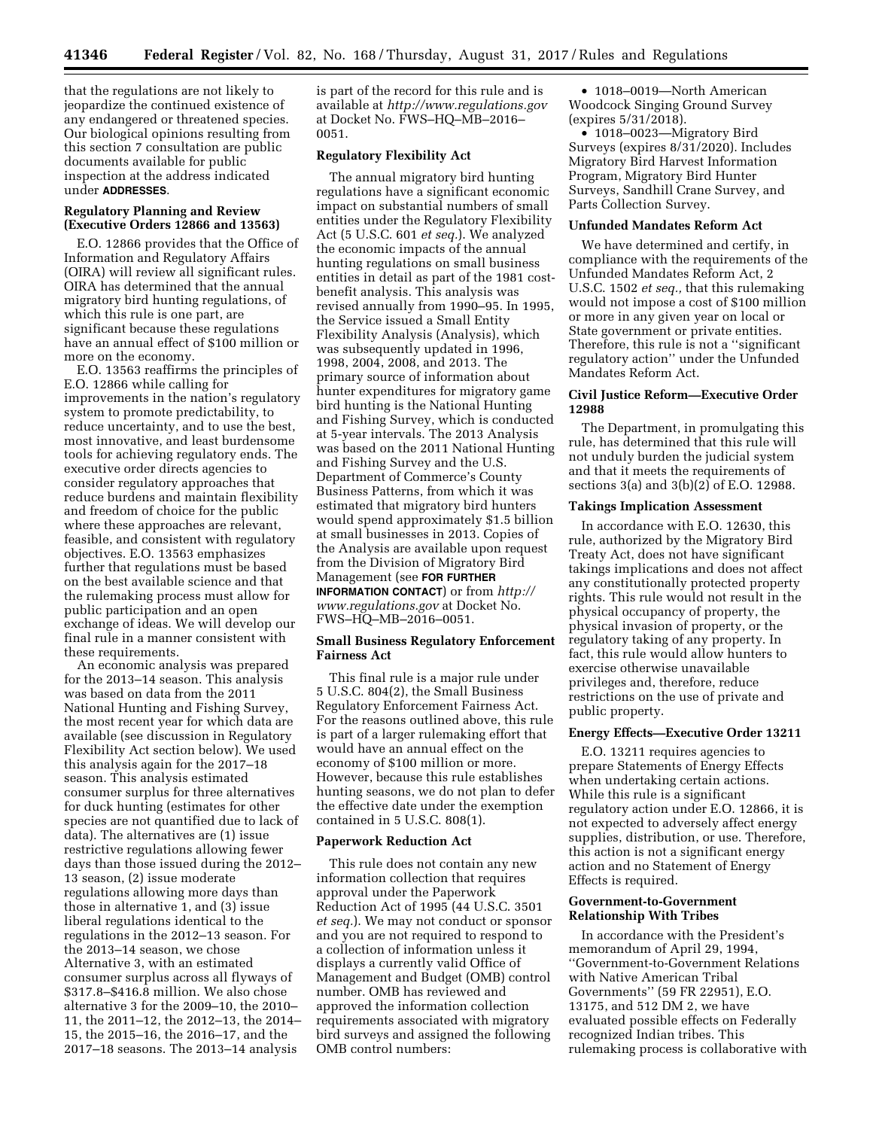that the regulations are not likely to jeopardize the continued existence of any endangered or threatened species. Our biological opinions resulting from this section 7 consultation are public documents available for public inspection at the address indicated under **ADDRESSES**.

# **Regulatory Planning and Review (Executive Orders 12866 and 13563)**

E.O. 12866 provides that the Office of Information and Regulatory Affairs (OIRA) will review all significant rules. OIRA has determined that the annual migratory bird hunting regulations, of which this rule is one part, are significant because these regulations have an annual effect of \$100 million or more on the economy.

E.O. 13563 reaffirms the principles of E.O. 12866 while calling for improvements in the nation's regulatory system to promote predictability, to reduce uncertainty, and to use the best, most innovative, and least burdensome tools for achieving regulatory ends. The executive order directs agencies to consider regulatory approaches that reduce burdens and maintain flexibility and freedom of choice for the public where these approaches are relevant, feasible, and consistent with regulatory objectives. E.O. 13563 emphasizes further that regulations must be based on the best available science and that the rulemaking process must allow for public participation and an open exchange of ideas. We will develop our final rule in a manner consistent with these requirements.

An economic analysis was prepared for the 2013–14 season. This analysis was based on data from the 2011 National Hunting and Fishing Survey, the most recent year for which data are available (see discussion in Regulatory Flexibility Act section below). We used this analysis again for the 2017–18 season. This analysis estimated consumer surplus for three alternatives for duck hunting (estimates for other species are not quantified due to lack of data). The alternatives are (1) issue restrictive regulations allowing fewer days than those issued during the 2012– 13 season, (2) issue moderate regulations allowing more days than those in alternative 1, and (3) issue liberal regulations identical to the regulations in the 2012–13 season. For the 2013–14 season, we chose Alternative 3, with an estimated consumer surplus across all flyways of \$317.8–\$416.8 million. We also chose alternative 3 for the 2009–10, the 2010– 11, the 2011–12, the 2012–13, the 2014– 15, the 2015–16, the 2016–17, and the 2017–18 seasons. The 2013–14 analysis

is part of the record for this rule and is available at *<http://www.regulations.gov>* at Docket No. FWS–HQ–MB–2016– 0051.

# **Regulatory Flexibility Act**

The annual migratory bird hunting regulations have a significant economic impact on substantial numbers of small entities under the Regulatory Flexibility Act (5 U.S.C. 601 *et seq.*). We analyzed the economic impacts of the annual hunting regulations on small business entities in detail as part of the 1981 costbenefit analysis. This analysis was revised annually from 1990–95. In 1995, the Service issued a Small Entity Flexibility Analysis (Analysis), which was subsequently updated in 1996, 1998, 2004, 2008, and 2013. The primary source of information about hunter expenditures for migratory game bird hunting is the National Hunting and Fishing Survey, which is conducted at 5-year intervals. The 2013 Analysis was based on the 2011 National Hunting and Fishing Survey and the U.S. Department of Commerce's County Business Patterns, from which it was estimated that migratory bird hunters would spend approximately \$1.5 billion at small businesses in 2013. Copies of the Analysis are available upon request from the Division of Migratory Bird Management (see **FOR FURTHER INFORMATION CONTACT**) or from *[http://](http://www.regulations.gov) [www.regulations.gov](http://www.regulations.gov)* at Docket No. FWS–HQ–MB–2016–0051.

### **Small Business Regulatory Enforcement Fairness Act**

This final rule is a major rule under 5 U.S.C. 804(2), the Small Business Regulatory Enforcement Fairness Act. For the reasons outlined above, this rule is part of a larger rulemaking effort that would have an annual effect on the economy of \$100 million or more. However, because this rule establishes hunting seasons, we do not plan to defer the effective date under the exemption contained in 5 U.S.C. 808(1).

#### **Paperwork Reduction Act**

This rule does not contain any new information collection that requires approval under the Paperwork Reduction Act of 1995 (44 U.S.C. 3501 *et seq.*). We may not conduct or sponsor and you are not required to respond to a collection of information unless it displays a currently valid Office of Management and Budget (OMB) control number. OMB has reviewed and approved the information collection requirements associated with migratory bird surveys and assigned the following OMB control numbers:

• 1018–0019—North American Woodcock Singing Ground Survey (expires 5/31/2018).

• 1018–0023—Migratory Bird Surveys (expires 8/31/2020). Includes Migratory Bird Harvest Information Program, Migratory Bird Hunter Surveys, Sandhill Crane Survey, and Parts Collection Survey.

### **Unfunded Mandates Reform Act**

We have determined and certify, in compliance with the requirements of the Unfunded Mandates Reform Act, 2 U.S.C. 1502 *et seq.,* that this rulemaking would not impose a cost of \$100 million or more in any given year on local or State government or private entities. Therefore, this rule is not a ''significant regulatory action'' under the Unfunded Mandates Reform Act.

### **Civil Justice Reform—Executive Order 12988**

The Department, in promulgating this rule, has determined that this rule will not unduly burden the judicial system and that it meets the requirements of sections 3(a) and  $3(b)(2)$  of E.O. 12988.

### **Takings Implication Assessment**

In accordance with E.O. 12630, this rule, authorized by the Migratory Bird Treaty Act, does not have significant takings implications and does not affect any constitutionally protected property rights. This rule would not result in the physical occupancy of property, the physical invasion of property, or the regulatory taking of any property. In fact, this rule would allow hunters to exercise otherwise unavailable privileges and, therefore, reduce restrictions on the use of private and public property.

#### **Energy Effects—Executive Order 13211**

E.O. 13211 requires agencies to prepare Statements of Energy Effects when undertaking certain actions. While this rule is a significant regulatory action under E.O. 12866, it is not expected to adversely affect energy supplies, distribution, or use. Therefore, this action is not a significant energy action and no Statement of Energy Effects is required.

### **Government-to-Government Relationship With Tribes**

In accordance with the President's memorandum of April 29, 1994, ''Government-to-Government Relations with Native American Tribal Governments'' (59 FR 22951), E.O. 13175, and 512 DM 2, we have evaluated possible effects on Federally recognized Indian tribes. This rulemaking process is collaborative with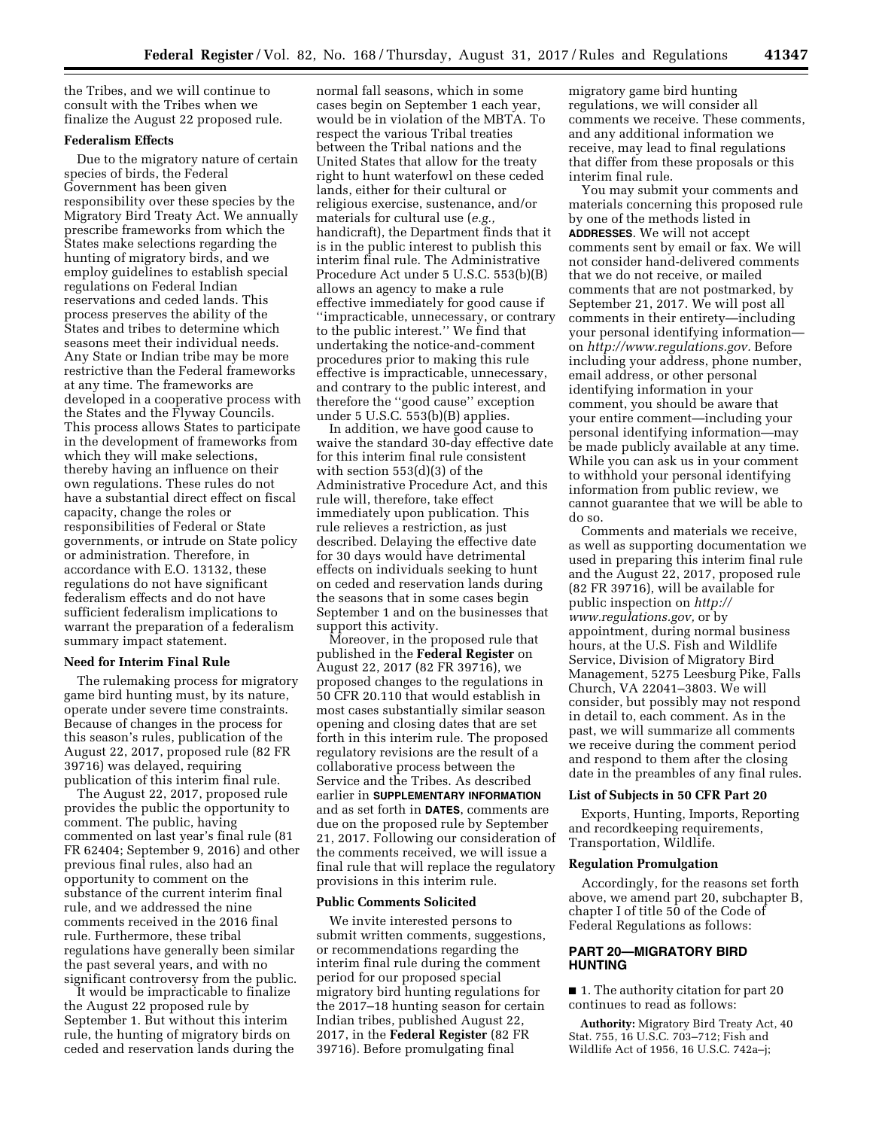the Tribes, and we will continue to consult with the Tribes when we finalize the August 22 proposed rule.

# **Federalism Effects**

Due to the migratory nature of certain species of birds, the Federal Government has been given responsibility over these species by the Migratory Bird Treaty Act. We annually prescribe frameworks from which the States make selections regarding the hunting of migratory birds, and we employ guidelines to establish special regulations on Federal Indian reservations and ceded lands. This process preserves the ability of the States and tribes to determine which seasons meet their individual needs. Any State or Indian tribe may be more restrictive than the Federal frameworks at any time. The frameworks are developed in a cooperative process with the States and the Flyway Councils. This process allows States to participate in the development of frameworks from which they will make selections, thereby having an influence on their own regulations. These rules do not have a substantial direct effect on fiscal capacity, change the roles or responsibilities of Federal or State governments, or intrude on State policy or administration. Therefore, in accordance with E.O. 13132, these regulations do not have significant federalism effects and do not have sufficient federalism implications to warrant the preparation of a federalism summary impact statement.

#### **Need for Interim Final Rule**

The rulemaking process for migratory game bird hunting must, by its nature, operate under severe time constraints. Because of changes in the process for this season's rules, publication of the August 22, 2017, proposed rule (82 FR 39716) was delayed, requiring publication of this interim final rule.

The August 22, 2017, proposed rule provides the public the opportunity to comment. The public, having commented on last year's final rule (81 FR 62404; September 9, 2016) and other previous final rules, also had an opportunity to comment on the substance of the current interim final rule, and we addressed the nine comments received in the 2016 final rule. Furthermore, these tribal regulations have generally been similar the past several years, and with no significant controversy from the public.

It would be impracticable to finalize the August 22 proposed rule by September 1. But without this interim rule, the hunting of migratory birds on ceded and reservation lands during the

normal fall seasons, which in some cases begin on September 1 each year, would be in violation of the MBTA. To respect the various Tribal treaties between the Tribal nations and the United States that allow for the treaty right to hunt waterfowl on these ceded lands, either for their cultural or religious exercise, sustenance, and/or materials for cultural use (*e.g.,*  handicraft), the Department finds that it is in the public interest to publish this interim final rule. The Administrative Procedure Act under 5 U.S.C. 553(b)(B) allows an agency to make a rule effective immediately for good cause if ''impracticable, unnecessary, or contrary to the public interest.'' We find that undertaking the notice-and-comment procedures prior to making this rule effective is impracticable, unnecessary, and contrary to the public interest, and therefore the ''good cause'' exception under 5 U.S.C. 553(b)(B) applies.

In addition, we have good cause to waive the standard 30-day effective date for this interim final rule consistent with section 553(d)(3) of the Administrative Procedure Act, and this rule will, therefore, take effect immediately upon publication. This rule relieves a restriction, as just described. Delaying the effective date for 30 days would have detrimental effects on individuals seeking to hunt on ceded and reservation lands during the seasons that in some cases begin September 1 and on the businesses that support this activity.

Moreover, in the proposed rule that published in the **Federal Register** on August 22, 2017 (82 FR 39716), we proposed changes to the regulations in 50 CFR 20.110 that would establish in most cases substantially similar season opening and closing dates that are set forth in this interim rule. The proposed regulatory revisions are the result of a collaborative process between the Service and the Tribes. As described earlier in **SUPPLEMENTARY INFORMATION** and as set forth in **DATES**, comments are due on the proposed rule by September 21, 2017. Following our consideration of the comments received, we will issue a final rule that will replace the regulatory provisions in this interim rule.

#### **Public Comments Solicited**

We invite interested persons to submit written comments, suggestions, or recommendations regarding the interim final rule during the comment period for our proposed special migratory bird hunting regulations for the 2017–18 hunting season for certain Indian tribes, published August 22, 2017, in the **Federal Register** (82 FR 39716). Before promulgating final

migratory game bird hunting regulations, we will consider all comments we receive. These comments, and any additional information we receive, may lead to final regulations that differ from these proposals or this interim final rule.

You may submit your comments and materials concerning this proposed rule by one of the methods listed in **ADDRESSES**. We will not accept comments sent by email or fax. We will not consider hand-delivered comments that we do not receive, or mailed comments that are not postmarked, by September 21, 2017. We will post all comments in their entirety—including your personal identifying information on *[http://www.regulations.gov.](http://www.regulations.gov)* Before including your address, phone number, email address, or other personal identifying information in your comment, you should be aware that your entire comment—including your personal identifying information—may be made publicly available at any time. While you can ask us in your comment to withhold your personal identifying information from public review, we cannot guarantee that we will be able to do so.

Comments and materials we receive, as well as supporting documentation we used in preparing this interim final rule and the August 22, 2017, proposed rule (82 FR 39716), will be available for public inspection on *[http://](http://www.regulations.gov) [www.regulations.gov,](http://www.regulations.gov)* or by appointment, during normal business hours, at the U.S. Fish and Wildlife Service, Division of Migratory Bird Management, 5275 Leesburg Pike, Falls Church, VA 22041–3803. We will consider, but possibly may not respond in detail to, each comment. As in the past, we will summarize all comments we receive during the comment period and respond to them after the closing date in the preambles of any final rules.

### **List of Subjects in 50 CFR Part 20**

Exports, Hunting, Imports, Reporting and recordkeeping requirements, Transportation, Wildlife.

# **Regulation Promulgation**

Accordingly, for the reasons set forth above, we amend part 20, subchapter B, chapter I of title 50 of the Code of Federal Regulations as follows:

### **PART 20—MIGRATORY BIRD HUNTING**

■ 1. The authority citation for part 20 continues to read as follows:

**Authority:** Migratory Bird Treaty Act, 40 Stat. 755, 16 U.S.C. 703–712; Fish and Wildlife Act of 1956, 16 U.S.C. 742a–j;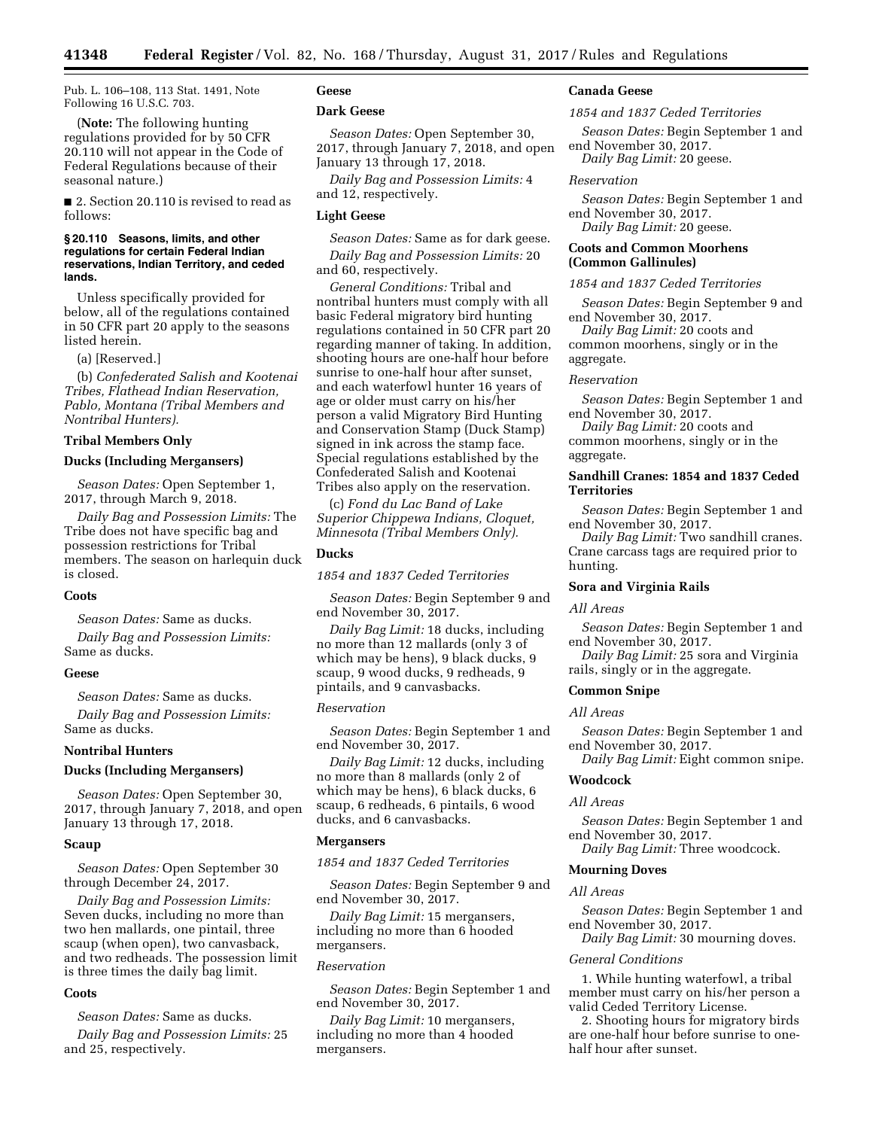Pub. L. 106–108, 113 Stat. 1491, Note Following 16 U.S.C. 703.

(**Note:** The following hunting regulations provided for by 50 CFR 20.110 will not appear in the Code of Federal Regulations because of their seasonal nature.)

■ 2. Section 20.110 is revised to read as follows:

### **§ 20.110 Seasons, limits, and other regulations for certain Federal Indian reservations, Indian Territory, and ceded lands.**

Unless specifically provided for below, all of the regulations contained in 50 CFR part 20 apply to the seasons listed herein.

(a) [Reserved.]

(b) *Confederated Salish and Kootenai Tribes, Flathead Indian Reservation, Pablo, Montana (Tribal Members and Nontribal Hunters).* 

#### **Tribal Members Only**

### **Ducks (Including Mergansers)**

*Season Dates:* Open September 1, 2017, through March 9, 2018.

*Daily Bag and Possession Limits:* The Tribe does not have specific bag and possession restrictions for Tribal members. The season on harlequin duck is closed.

### **Coots**

*Season Dates:* Same as ducks.

*Daily Bag and Possession Limits:*  Same as ducks.

#### **Geese**

*Season Dates:* Same as ducks.

*Daily Bag and Possession Limits:*  Same as ducks.

# **Nontribal Hunters**

### **Ducks (Including Mergansers)**

*Season Dates:* Open September 30, 2017, through January 7, 2018, and open January 13 through 17, 2018.

### **Scaup**

*Season Dates:* Open September 30 through December 24, 2017.

*Daily Bag and Possession Limits:*  Seven ducks, including no more than two hen mallards, one pintail, three scaup (when open), two canvasback, and two redheads. The possession limit is three times the daily bag limit.

#### **Coots**

*Season Dates:* Same as ducks.

*Daily Bag and Possession Limits:* 25 and 25, respectively.

# **Geese**

# **Dark Geese**

*Season Dates:* Open September 30, 2017, through January 7, 2018, and open January 13 through 17, 2018.

*Daily Bag and Possession Limits:* 4 and 12, respectively.

### **Light Geese**

*Season Dates:* Same as for dark geese. *Daily Bag and Possession Limits:* 20 and 60, respectively.

*General Conditions:* Tribal and nontribal hunters must comply with all basic Federal migratory bird hunting regulations contained in 50 CFR part 20 regarding manner of taking. In addition, shooting hours are one-half hour before sunrise to one-half hour after sunset, and each waterfowl hunter 16 years of age or older must carry on his/her person a valid Migratory Bird Hunting and Conservation Stamp (Duck Stamp) signed in ink across the stamp face. Special regulations established by the Confederated Salish and Kootenai Tribes also apply on the reservation.

(c) *Fond du Lac Band of Lake Superior Chippewa Indians, Cloquet, Minnesota (Tribal Members Only).* 

# **Ducks**

*1854 and 1837 Ceded Territories* 

*Season Dates:* Begin September 9 and end November 30, 2017.

*Daily Bag Limit:* 18 ducks, including no more than 12 mallards (only 3 of which may be hens), 9 black ducks, 9 scaup, 9 wood ducks, 9 redheads, 9 pintails, and 9 canvasbacks.

### *Reservation*

*Season Dates:* Begin September 1 and end November 30, 2017.

*Daily Bag Limit:* 12 ducks, including no more than 8 mallards (only 2 of which may be hens), 6 black ducks, 6 scaup, 6 redheads, 6 pintails, 6 wood ducks, and 6 canvasbacks.

#### **Mergansers**

*1854 and 1837 Ceded Territories* 

*Season Dates:* Begin September 9 and end November 30, 2017.

*Daily Bag Limit:* 15 mergansers, including no more than 6 hooded mergansers.

## *Reservation*

*Season Dates:* Begin September 1 and end November 30, 2017.

*Daily Bag Limit:* 10 mergansers, including no more than 4 hooded mergansers.

### **Canada Geese**

*1854 and 1837 Ceded Territories* 

*Season Dates:* Begin September 1 and end November 30, 2017.

*Daily Bag Limit:* 20 geese.

### *Reservation*

*Season Dates:* Begin September 1 and end November 30, 2017. *Daily Bag Limit:* 20 geese.

### **Coots and Common Moorhens (Common Gallinules)**

### *1854 and 1837 Ceded Territories*

*Season Dates:* Begin September 9 and end November 30, 2017.

*Daily Bag Limit:* 20 coots and common moorhens, singly or in the aggregate.

### *Reservation*

*Season Dates:* Begin September 1 and end November 30, 2017.

*Daily Bag Limit:* 20 coots and common moorhens, singly or in the aggregate.

# **Sandhill Cranes: 1854 and 1837 Ceded Territories**

*Season Dates:* Begin September 1 and end November 30, 2017.

*Daily Bag Limit:* Two sandhill cranes. Crane carcass tags are required prior to hunting.

### **Sora and Virginia Rails**

#### *All Areas*

*Season Dates:* Begin September 1 and end November 30, 2017.

*Daily Bag Limit:* 25 sora and Virginia rails, singly or in the aggregate.

#### **Common Snipe**

#### *All Areas*

*Season Dates:* Begin September 1 and end November 30, 2017.

*Daily Bag Limit:* Eight common snipe.

# **Woodcock**

### *All Areas*

*Season Dates:* Begin September 1 and end November 30, 2017. *Daily Bag Limit:* Three woodcock.

### **Mourning Doves**

### *All Areas*

*Season Dates:* Begin September 1 and end November 30, 2017.

*Daily Bag Limit:* 30 mourning doves.

# *General Conditions*

1. While hunting waterfowl, a tribal member must carry on his/her person a valid Ceded Territory License.

2. Shooting hours for migratory birds are one-half hour before sunrise to onehalf hour after sunset.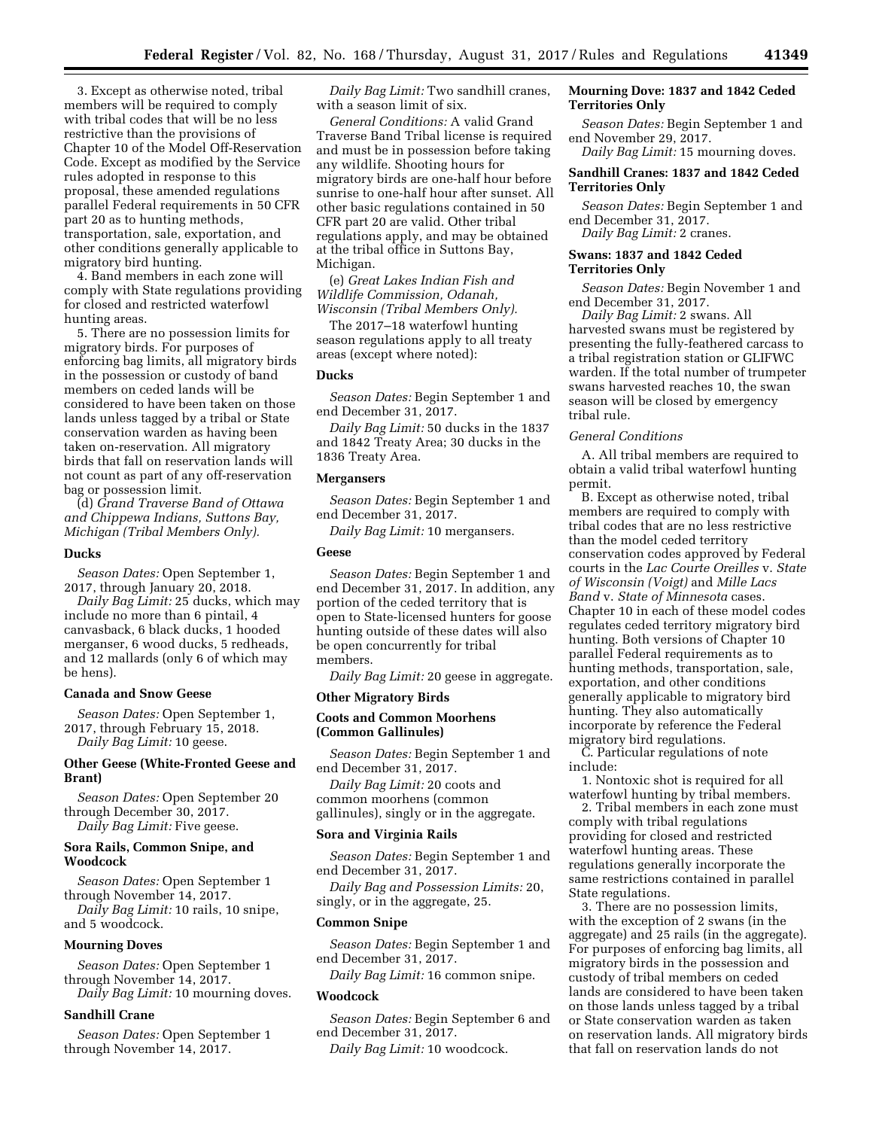3. Except as otherwise noted, tribal members will be required to comply with tribal codes that will be no less restrictive than the provisions of Chapter 10 of the Model Off-Reservation Code. Except as modified by the Service rules adopted in response to this proposal, these amended regulations parallel Federal requirements in 50 CFR part 20 as to hunting methods, transportation, sale, exportation, and other conditions generally applicable to migratory bird hunting.

4. Band members in each zone will comply with State regulations providing for closed and restricted waterfowl hunting areas.

5. There are no possession limits for migratory birds. For purposes of enforcing bag limits, all migratory birds in the possession or custody of band members on ceded lands will be considered to have been taken on those lands unless tagged by a tribal or State conservation warden as having been taken on-reservation. All migratory birds that fall on reservation lands will not count as part of any off-reservation bag or possession limit.

(d) *Grand Traverse Band of Ottawa and Chippewa Indians, Suttons Bay, Michigan (Tribal Members Only).* 

### **Ducks**

*Season Dates:* Open September 1, 2017, through January 20, 2018.

*Daily Bag Limit:* 25 ducks, which may include no more than 6 pintail, 4 canvasback, 6 black ducks, 1 hooded merganser, 6 wood ducks, 5 redheads, and 12 mallards (only 6 of which may be hens).

#### **Canada and Snow Geese**

*Season Dates:* Open September 1, 2017, through February 15, 2018. *Daily Bag Limit:* 10 geese.

# **Other Geese (White-Fronted Geese and Brant)**

*Season Dates:* Open September 20 through December 30, 2017. *Daily Bag Limit:* Five geese.

### **Sora Rails, Common Snipe, and Woodcock**

*Season Dates:* Open September 1 through November 14, 2017.

*Daily Bag Limit:* 10 rails, 10 snipe, and 5 woodcock.

#### **Mourning Doves**

*Season Dates:* Open September 1 through November 14, 2017. *Daily Bag Limit:* 10 mourning doves.

### **Sandhill Crane**

*Season Dates:* Open September 1 through November 14, 2017.

*Daily Bag Limit:* Two sandhill cranes, with a season limit of six.

*General Conditions:* A valid Grand Traverse Band Tribal license is required and must be in possession before taking any wildlife. Shooting hours for migratory birds are one-half hour before sunrise to one-half hour after sunset. All other basic regulations contained in 50 CFR part 20 are valid. Other tribal regulations apply, and may be obtained at the tribal office in Suttons Bay, Michigan.

(e) *Great Lakes Indian Fish and Wildlife Commission, Odanah, Wisconsin (Tribal Members Only).* 

The 2017–18 waterfowl hunting season regulations apply to all treaty areas (except where noted):

# **Ducks**

*Season Dates:* Begin September 1 and end December 31, 2017.

*Daily Bag Limit:* 50 ducks in the 1837 and 1842 Treaty Area; 30 ducks in the 1836 Treaty Area.

### **Mergansers**

*Season Dates:* Begin September 1 and end December 31, 2017.

*Daily Bag Limit:* 10 mergansers.

#### **Geese**

*Season Dates:* Begin September 1 and end December 31, 2017. In addition, any portion of the ceded territory that is open to State-licensed hunters for goose hunting outside of these dates will also be open concurrently for tribal members.

*Daily Bag Limit:* 20 geese in aggregate.

#### **Other Migratory Birds**

### **Coots and Common Moorhens (Common Gallinules)**

*Season Dates:* Begin September 1 and end December 31, 2017.

*Daily Bag Limit:* 20 coots and common moorhens (common gallinules), singly or in the aggregate.

#### **Sora and Virginia Rails**

*Season Dates:* Begin September 1 and end December 31, 2017.

*Daily Bag and Possession Limits:* 20, singly, or in the aggregate, 25.

### **Common Snipe**

*Season Dates:* Begin September 1 and end December 31, 2017.

*Daily Bag Limit:* 16 common snipe.

### **Woodcock**

*Season Dates:* Begin September 6 and end December 31, 2017.

*Daily Bag Limit:* 10 woodcock.

### **Mourning Dove: 1837 and 1842 Ceded Territories Only**

*Season Dates:* Begin September 1 and end November 29, 2017.

*Daily Bag Limit:* 15 mourning doves.

### **Sandhill Cranes: 1837 and 1842 Ceded Territories Only**

*Season Dates:* Begin September 1 and end December 31, 2017. *Daily Bag Limit:* 2 cranes.

### **Swans: 1837 and 1842 Ceded Territories Only**

*Season Dates:* Begin November 1 and end December 31, 2017.

*Daily Bag Limit:* 2 swans. All harvested swans must be registered by presenting the fully-feathered carcass to a tribal registration station or GLIFWC warden. If the total number of trumpeter swans harvested reaches 10, the swan season will be closed by emergency tribal rule.

### *General Conditions*

A. All tribal members are required to obtain a valid tribal waterfowl hunting permit.

B. Except as otherwise noted, tribal members are required to comply with tribal codes that are no less restrictive than the model ceded territory conservation codes approved by Federal courts in the *Lac Courte Oreilles* v. *State of Wisconsin (Voigt)* and *Mille Lacs Band* v. *State of Minnesota* cases. Chapter 10 in each of these model codes regulates ceded territory migratory bird hunting. Both versions of Chapter 10 parallel Federal requirements as to hunting methods, transportation, sale, exportation, and other conditions generally applicable to migratory bird hunting. They also automatically incorporate by reference the Federal migratory bird regulations.

C. Particular regulations of note include:

1. Nontoxic shot is required for all waterfowl hunting by tribal members.

2. Tribal members in each zone must comply with tribal regulations providing for closed and restricted waterfowl hunting areas. These regulations generally incorporate the same restrictions contained in parallel State regulations.

3. There are no possession limits, with the exception of 2 swans (in the aggregate) and 25 rails (in the aggregate). For purposes of enforcing bag limits, all migratory birds in the possession and custody of tribal members on ceded lands are considered to have been taken on those lands unless tagged by a tribal or State conservation warden as taken on reservation lands. All migratory birds that fall on reservation lands do not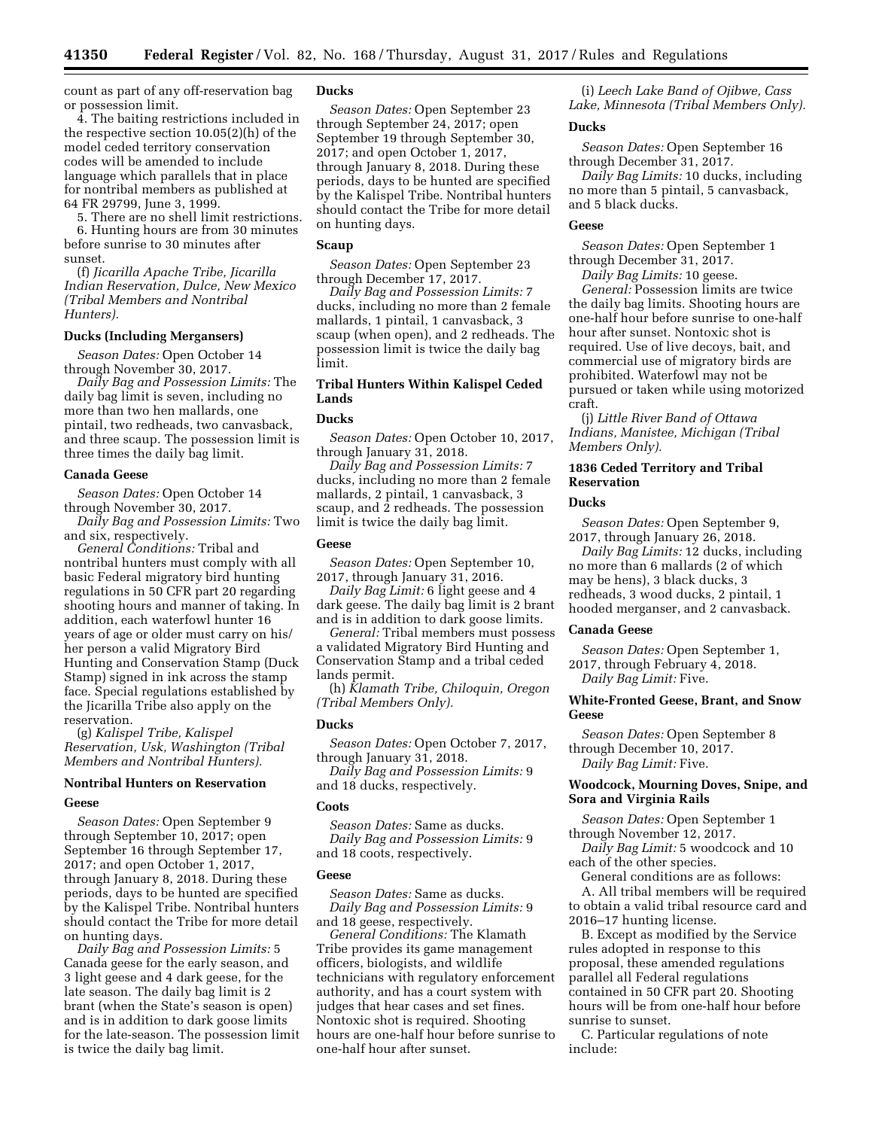count as part of any off-reservation bag or possession limit.

4. The baiting restrictions included in the respective section 10.05(2)(h) of the model ceded territory conservation codes will be amended to include language which parallels that in place for nontribal members as published at 64 FR 29799, June 3, 1999.

5. There are no shell limit restrictions. 6. Hunting hours are from 30 minutes before sunrise to 30 minutes after sunset.

(f) *Jicarilla Apache Tribe, Jicarilla Indian Reservation, Dulce, New Mexico (Tribal Members and Nontribal Hunters).* 

### **Ducks (Including Mergansers)**

*Season Dates:* Open October 14 through November 30, 2017.

*Daily Bag and Possession Limits:* The daily bag limit is seven, including no more than two hen mallards, one pintail, two redheads, two canvasback, and three scaup. The possession limit is three times the daily bag limit.

#### **Canada Geese**

*Season Dates:* Open October 14 through November 30, 2017.

*Daily Bag and Possession Limits:* Two and six, respectively.

*General Conditions:* Tribal and nontribal hunters must comply with all basic Federal migratory bird hunting regulations in 50 CFR part 20 regarding shooting hours and manner of taking. In addition, each waterfowl hunter 16 years of age or older must carry on his/ her person a valid Migratory Bird Hunting and Conservation Stamp (Duck Stamp) signed in ink across the stamp face. Special regulations established by the Jicarilla Tribe also apply on the reservation.

(g) *Kalispel Tribe, Kalispel Reservation, Usk, Washington (Tribal Members and Nontribal Hunters).* 

### **Nontribal Hunters on Reservation**

#### **Geese**

*Season Dates:* Open September 9 through September 10, 2017; open September 16 through September 17, 2017; and open October 1, 2017, through January 8, 2018. During these periods, days to be hunted are specified by the Kalispel Tribe. Nontribal hunters should contact the Tribe for more detail on hunting days.

*Daily Bag and Possession Limits:* 5 Canada geese for the early season, and 3 light geese and 4 dark geese, for the late season. The daily bag limit is 2 brant (when the State's season is open) and is in addition to dark goose limits for the late-season. The possession limit is twice the daily bag limit.

### **Ducks**

*Season Dates:* Open September 23 through September 24, 2017; open September 19 through September 30, 2017; and open October 1, 2017, through January 8, 2018. During these periods, days to be hunted are specified by the Kalispel Tribe. Nontribal hunters should contact the Tribe for more detail on hunting days.

### **Scaup**

*Season Dates:* Open September 23 through December 17, 2017.

*Daily Bag and Possession Limits:* 7 ducks, including no more than 2 female mallards, 1 pintail, 1 canvasback, 3 scaup (when open), and 2 redheads. The possession limit is twice the daily bag limit.

# **Tribal Hunters Within Kalispel Ceded Lands**

#### **Ducks**

*Season Dates:* Open October 10, 2017, through January 31, 2018.

*Daily Bag and Possession Limits:* 7 ducks, including no more than 2 female mallards, 2 pintail, 1 canvasback, 3 scaup, and 2 redheads. The possession limit is twice the daily bag limit.

#### **Geese**

*Season Dates:* Open September 10, 2017, through January 31, 2016.

*Daily Bag Limit:* 6 light geese and 4 dark geese. The daily bag limit is 2 brant and is in addition to dark goose limits.

*General:* Tribal members must possess a validated Migratory Bird Hunting and Conservation Stamp and a tribal ceded lands permit.

(h) *Klamath Tribe, Chiloquin, Oregon (Tribal Members Only).* 

#### **Ducks**

*Season Dates:* Open October 7, 2017, through January 31, 2018.

*Daily Bag and Possession Limits:* 9 and 18 ducks, respectively.

### **Coots**

*Season Dates:* Same as ducks. *Daily Bag and Possession Limits:* 9 and 18 coots, respectively.

#### **Geese**

*Season Dates:* Same as ducks. *Daily Bag and Possession Limits:* 9 and 18 geese, respectively.

*General Conditions:* The Klamath Tribe provides its game management officers, biologists, and wildlife technicians with regulatory enforcement authority, and has a court system with judges that hear cases and set fines. Nontoxic shot is required. Shooting hours are one-half hour before sunrise to one-half hour after sunset.

(i) *Leech Lake Band of Ojibwe, Cass Lake, Minnesota (Tribal Members Only).* 

### **Ducks**

*Season Dates:* Open September 16 through December 31, 2017.

*Daily Bag Limits:* 10 ducks, including no more than 5 pintail, 5 canvasback, and 5 black ducks.

### **Geese**

*Season Dates:* Open September 1 through December 31, 2017.

*Daily Bag Limits:* 10 geese.

*General:* Possession limits are twice the daily bag limits. Shooting hours are one-half hour before sunrise to one-half hour after sunset. Nontoxic shot is required. Use of live decoys, bait, and commercial use of migratory birds are prohibited. Waterfowl may not be pursued or taken while using motorized craft.

(j) *Little River Band of Ottawa Indians, Manistee, Michigan (Tribal Members Only).* 

### **1836 Ceded Territory and Tribal Reservation**

#### **Ducks**

*Season Dates:* Open September 9, 2017, through January 26, 2018.

*Daily Bag Limits:* 12 ducks, including no more than 6 mallards (2 of which may be hens), 3 black ducks, 3 redheads, 3 wood ducks, 2 pintail, 1 hooded merganser, and 2 canvasback.

#### **Canada Geese**

*Season Dates:* Open September 1, 2017, through February 4, 2018. *Daily Bag Limit:* Five.

### **White-Fronted Geese, Brant, and Snow Geese**

*Season Dates:* Open September 8 through December 10, 2017. *Daily Bag Limit:* Five.

### **Woodcock, Mourning Doves, Snipe, and Sora and Virginia Rails**

*Season Dates:* Open September 1 through November 12, 2017.

*Daily Bag Limit:* 5 woodcock and 10 each of the other species.

General conditions are as follows:

A. All tribal members will be required to obtain a valid tribal resource card and 2016–17 hunting license.

B. Except as modified by the Service rules adopted in response to this proposal, these amended regulations parallel all Federal regulations contained in 50 CFR part 20. Shooting hours will be from one-half hour before sunrise to sunset.

C. Particular regulations of note include: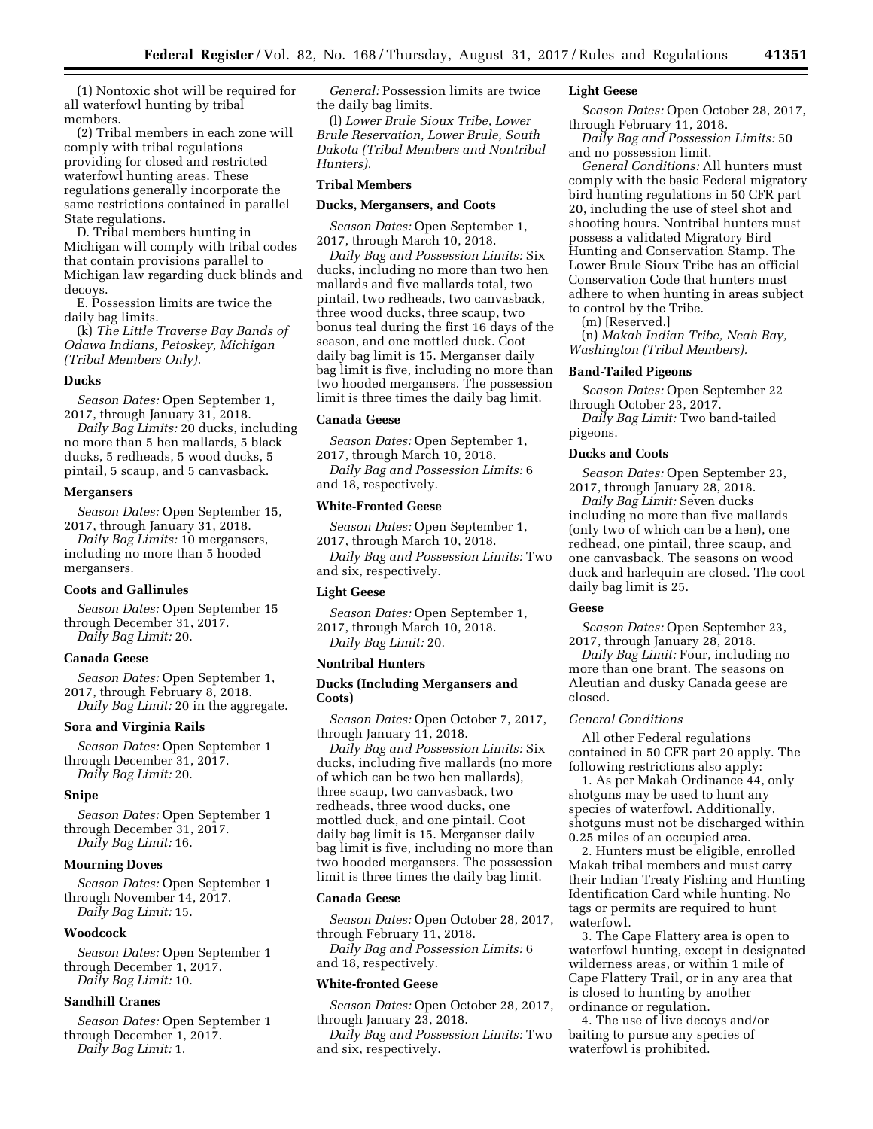(1) Nontoxic shot will be required for all waterfowl hunting by tribal members.

(2) Tribal members in each zone will comply with tribal regulations providing for closed and restricted waterfowl hunting areas. These regulations generally incorporate the same restrictions contained in parallel State regulations.

D. Tribal members hunting in Michigan will comply with tribal codes that contain provisions parallel to Michigan law regarding duck blinds and decoys.

E. Possession limits are twice the daily bag limits.

(k) *The Little Traverse Bay Bands of Odawa Indians, Petoskey, Michigan (Tribal Members Only).* 

### **Ducks**

*Season Dates:* Open September 1, 2017, through January 31, 2018.

*Daily Bag Limits:* 20 ducks, including no more than 5 hen mallards, 5 black ducks, 5 redheads, 5 wood ducks, 5 pintail, 5 scaup, and 5 canvasback.

### **Mergansers**

*Season Dates:* Open September 15, 2017, through January 31, 2018.

*Daily Bag Limits:* 10 mergansers, including no more than 5 hooded mergansers.

#### **Coots and Gallinules**

*Season Dates:* Open September 15 through December 31, 2017. *Daily Bag Limit:* 20.

#### **Canada Geese**

*Season Dates:* Open September 1, 2017, through February 8, 2018. *Daily Bag Limit:* 20 in the aggregate.

### **Sora and Virginia Rails**

*Season Dates:* Open September 1 through December 31, 2017. *Daily Bag Limit:* 20.

#### **Snipe**

*Season Dates:* Open September 1 through December 31, 2017. *Daily Bag Limit:* 16.

#### **Mourning Doves**

*Season Dates:* Open September 1 through November 14, 2017. *Daily Bag Limit:* 15.

#### **Woodcock**

*Season Dates:* Open September 1 through December 1, 2017. *Daily Bag Limit:* 10.

### **Sandhill Cranes**

*Season Dates:* Open September 1 through December 1, 2017. *Daily Bag Limit:* 1.

*General:* Possession limits are twice the daily bag limits.

(l) *Lower Brule Sioux Tribe, Lower Brule Reservation, Lower Brule, South Dakota (Tribal Members and Nontribal Hunters).* 

# **Tribal Members**

#### **Ducks, Mergansers, and Coots**

*Season Dates:* Open September 1, 2017, through March 10, 2018.

*Daily Bag and Possession Limits:* Six ducks, including no more than two hen mallards and five mallards total, two pintail, two redheads, two canvasback, three wood ducks, three scaup, two bonus teal during the first 16 days of the season, and one mottled duck. Coot daily bag limit is 15. Merganser daily bag limit is five, including no more than two hooded mergansers. The possession limit is three times the daily bag limit.

#### **Canada Geese**

*Season Dates:* Open September 1, 2017, through March 10, 2018.

*Daily Bag and Possession Limits:* 6 and 18, respectively.

#### **White-Fronted Geese**

*Season Dates:* Open September 1, 2017, through March 10, 2018. *Daily Bag and Possession Limits:* Two

and six, respectively.

### **Light Geese**

*Season Dates:* Open September 1, 2017, through March 10, 2018. *Daily Bag Limit:* 20.

#### **Nontribal Hunters**

### **Ducks (Including Mergansers and Coots)**

*Season Dates:* Open October 7, 2017, through January 11, 2018.

*Daily Bag and Possession Limits:* Six ducks, including five mallards (no more of which can be two hen mallards), three scaup, two canvasback, two redheads, three wood ducks, one mottled duck, and one pintail. Coot daily bag limit is 15. Merganser daily bag limit is five, including no more than two hooded mergansers. The possession limit is three times the daily bag limit.

#### **Canada Geese**

*Season Dates:* Open October 28, 2017, through February 11, 2018.

*Daily Bag and Possession Limits:* 6 and 18, respectively.

#### **White-fronted Geese**

*Season Dates:* Open October 28, 2017, through January 23, 2018.

*Daily Bag and Possession Limits:* Two and six, respectively.

### **Light Geese**

*Season Dates:* Open October 28, 2017, through February 11, 2018.

*Daily Bag and Possession Limits:* 50 and no possession limit.

*General Conditions:* All hunters must comply with the basic Federal migratory bird hunting regulations in 50 CFR part 20, including the use of steel shot and shooting hours. Nontribal hunters must possess a validated Migratory Bird Hunting and Conservation Stamp. The Lower Brule Sioux Tribe has an official Conservation Code that hunters must adhere to when hunting in areas subject to control by the Tribe.

(m) [Reserved.]

(n) *Makah Indian Tribe, Neah Bay, Washington (Tribal Members).* 

#### **Band-Tailed Pigeons**

*Season Dates:* Open September 22 through October 23, 2017.

*Daily Bag Limit:* Two band-tailed pigeons.

### **Ducks and Coots**

*Season Dates:* Open September 23, 2017, through January 28, 2018.

*Daily Bag Limit:* Seven ducks including no more than five mallards (only two of which can be a hen), one redhead, one pintail, three scaup, and one canvasback. The seasons on wood duck and harlequin are closed. The coot daily bag limit is 25.

### **Geese**

*Season Dates:* Open September 23, 2017, through January 28, 2018.

*Daily Bag Limit:* Four, including no more than one brant. The seasons on Aleutian and dusky Canada geese are closed.

### *General Conditions*

All other Federal regulations contained in 50 CFR part 20 apply. The following restrictions also apply:

1. As per Makah Ordinance 44, only shotguns may be used to hunt any species of waterfowl. Additionally, shotguns must not be discharged within 0.25 miles of an occupied area.

2. Hunters must be eligible, enrolled Makah tribal members and must carry their Indian Treaty Fishing and Hunting Identification Card while hunting. No tags or permits are required to hunt waterfowl.

3. The Cape Flattery area is open to waterfowl hunting, except in designated wilderness areas, or within 1 mile of Cape Flattery Trail, or in any area that is closed to hunting by another ordinance or regulation.

4. The use of live decoys and/or baiting to pursue any species of waterfowl is prohibited.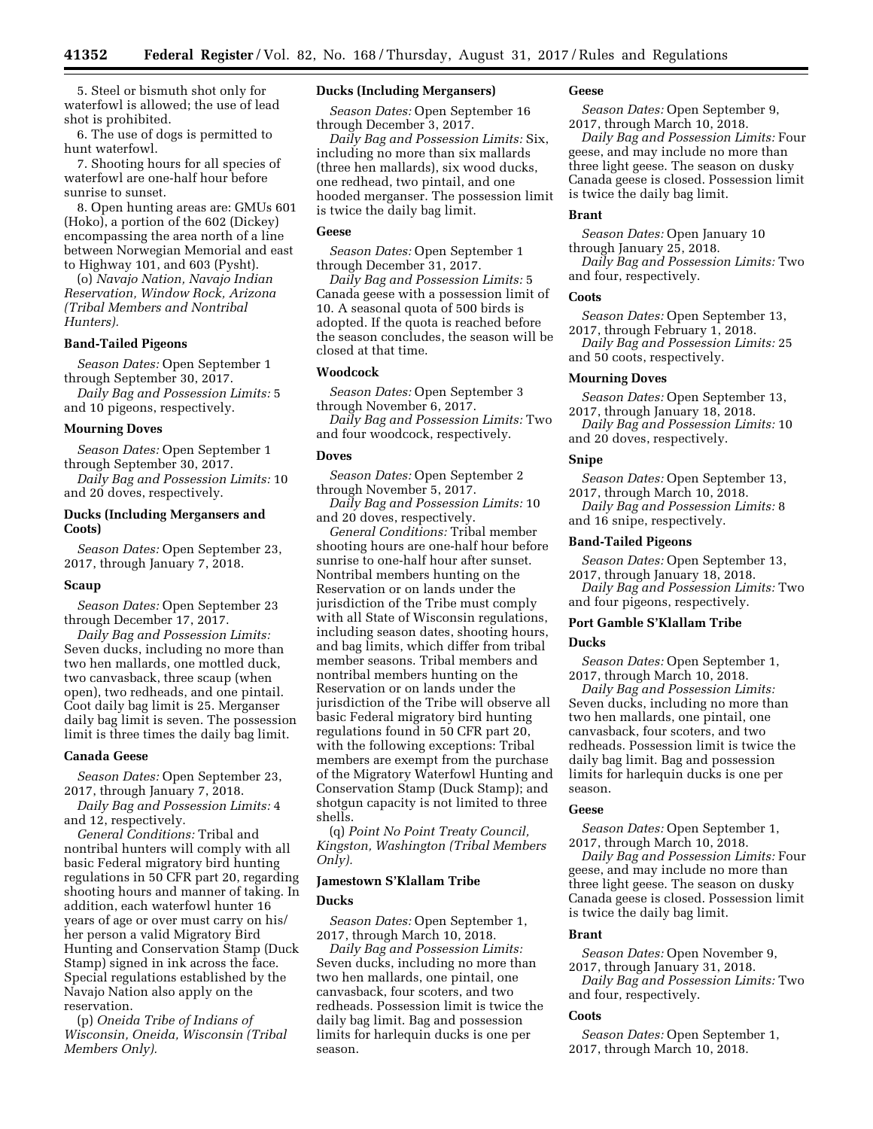5. Steel or bismuth shot only for waterfowl is allowed; the use of lead shot is prohibited.

6. The use of dogs is permitted to hunt waterfowl.

7. Shooting hours for all species of waterfowl are one-half hour before sunrise to sunset.

8. Open hunting areas are: GMUs 601 (Hoko), a portion of the 602 (Dickey) encompassing the area north of a line between Norwegian Memorial and east to Highway 101, and 603 (Pysht).

(o) *Navajo Nation, Navajo Indian Reservation, Window Rock, Arizona (Tribal Members and Nontribal Hunters).* 

### **Band-Tailed Pigeons**

*Season Dates:* Open September 1 through September 30, 2017.

*Daily Bag and Possession Limits:* 5 and 10 pigeons, respectively.

### **Mourning Doves**

*Season Dates:* Open September 1 through September 30, 2017.

*Daily Bag and Possession Limits:* 10 and 20 doves, respectively.

# **Ducks (Including Mergansers and Coots)**

*Season Dates:* Open September 23, 2017, through January 7, 2018.

### **Scaup**

*Season Dates:* Open September 23 through December 17, 2017.

*Daily Bag and Possession Limits:*  Seven ducks, including no more than two hen mallards, one mottled duck, two canvasback, three scaup (when open), two redheads, and one pintail. Coot daily bag limit is 25. Merganser daily bag limit is seven. The possession limit is three times the daily bag limit.

#### **Canada Geese**

*Season Dates:* Open September 23, 2017, through January 7, 2018.

*Daily Bag and Possession Limits:* 4 and 12, respectively.

*General Conditions:* Tribal and nontribal hunters will comply with all basic Federal migratory bird hunting regulations in 50 CFR part 20, regarding shooting hours and manner of taking. In addition, each waterfowl hunter 16 years of age or over must carry on his/ her person a valid Migratory Bird Hunting and Conservation Stamp (Duck Stamp) signed in ink across the face. Special regulations established by the Navajo Nation also apply on the reservation.

(p) *Oneida Tribe of Indians of Wisconsin, Oneida, Wisconsin (Tribal Members Only).* 

# **Ducks (Including Mergansers)**

*Season Dates:* Open September 16 through December 3, 2017.

*Daily Bag and Possession Limits:* Six, including no more than six mallards (three hen mallards), six wood ducks, one redhead, two pintail, and one hooded merganser. The possession limit is twice the daily bag limit.

### **Geese**

*Season Dates:* Open September 1 through December 31, 2017.

*Daily Bag and Possession Limits:* 5 Canada geese with a possession limit of 10. A seasonal quota of 500 birds is adopted. If the quota is reached before the season concludes, the season will be closed at that time.

### **Woodcock**

*Season Dates:* Open September 3 through November 6, 2017.

*Daily Bag and Possession Limits:* Two and four woodcock, respectively.

### **Doves**

*Season Dates:* Open September 2 through November 5, 2017.

*Daily Bag and Possession Limits:* 10 and 20 doves, respectively.

*General Conditions:* Tribal member shooting hours are one-half hour before sunrise to one-half hour after sunset. Nontribal members hunting on the Reservation or on lands under the jurisdiction of the Tribe must comply with all State of Wisconsin regulations, including season dates, shooting hours, and bag limits, which differ from tribal member seasons. Tribal members and nontribal members hunting on the Reservation or on lands under the jurisdiction of the Tribe will observe all basic Federal migratory bird hunting regulations found in 50 CFR part 20, with the following exceptions: Tribal members are exempt from the purchase of the Migratory Waterfowl Hunting and Conservation Stamp (Duck Stamp); and shotgun capacity is not limited to three shells.

(q) *Point No Point Treaty Council, Kingston, Washington (Tribal Members Only).* 

### **Jamestown S'Klallam Tribe**

#### **Ducks**

*Season Dates:* Open September 1, 2017, through March 10, 2018.

*Daily Bag and Possession Limits:*  Seven ducks, including no more than two hen mallards, one pintail, one canvasback, four scoters, and two redheads. Possession limit is twice the daily bag limit. Bag and possession limits for harlequin ducks is one per season.

#### **Geese**

*Season Dates:* Open September 9, 2017, through March 10, 2018.

*Daily Bag and Possession Limits:* Four geese, and may include no more than three light geese. The season on dusky Canada geese is closed. Possession limit is twice the daily bag limit.

#### **Brant**

*Season Dates:* Open January 10 through January 25, 2018.

*Daily Bag and Possession Limits:* Two and four, respectively.

### **Coots**

*Season Dates:* Open September 13, 2017, through February 1, 2018. *Daily Bag and Possession Limits:* 25 and 50 coots, respectively.

#### **Mourning Doves**

*Season Dates:* Open September 13, 2017, through January 18, 2018.

*Daily Bag and Possession Limits:* 10 and 20 doves, respectively.

#### **Snipe**

*Season Dates:* Open September 13, 2017, through March 10, 2018.

*Daily Bag and Possession Limits:* 8 and 16 snipe, respectively.

### **Band-Tailed Pigeons**

*Season Dates:* Open September 13, 2017, through January 18, 2018. *Daily Bag and Possession Limits:* Two and four pigeons, respectively.

# **Port Gamble S'Klallam Tribe Ducks**

*Season Dates:* Open September 1, 2017, through March 10, 2018.

*Daily Bag and Possession Limits:*  Seven ducks, including no more than two hen mallards, one pintail, one canvasback, four scoters, and two redheads. Possession limit is twice the daily bag limit. Bag and possession limits for harlequin ducks is one per season.

### **Geese**

*Season Dates:* Open September 1, 2017, through March 10, 2018.

*Daily Bag and Possession Limits:* Four geese, and may include no more than three light geese. The season on dusky Canada geese is closed. Possession limit is twice the daily bag limit.

#### **Brant**

*Season Dates:* Open November 9, 2017, through January 31, 2018.

*Daily Bag and Possession Limits:* Two and four, respectively.

### **Coots**

*Season Dates:* Open September 1, 2017, through March 10, 2018.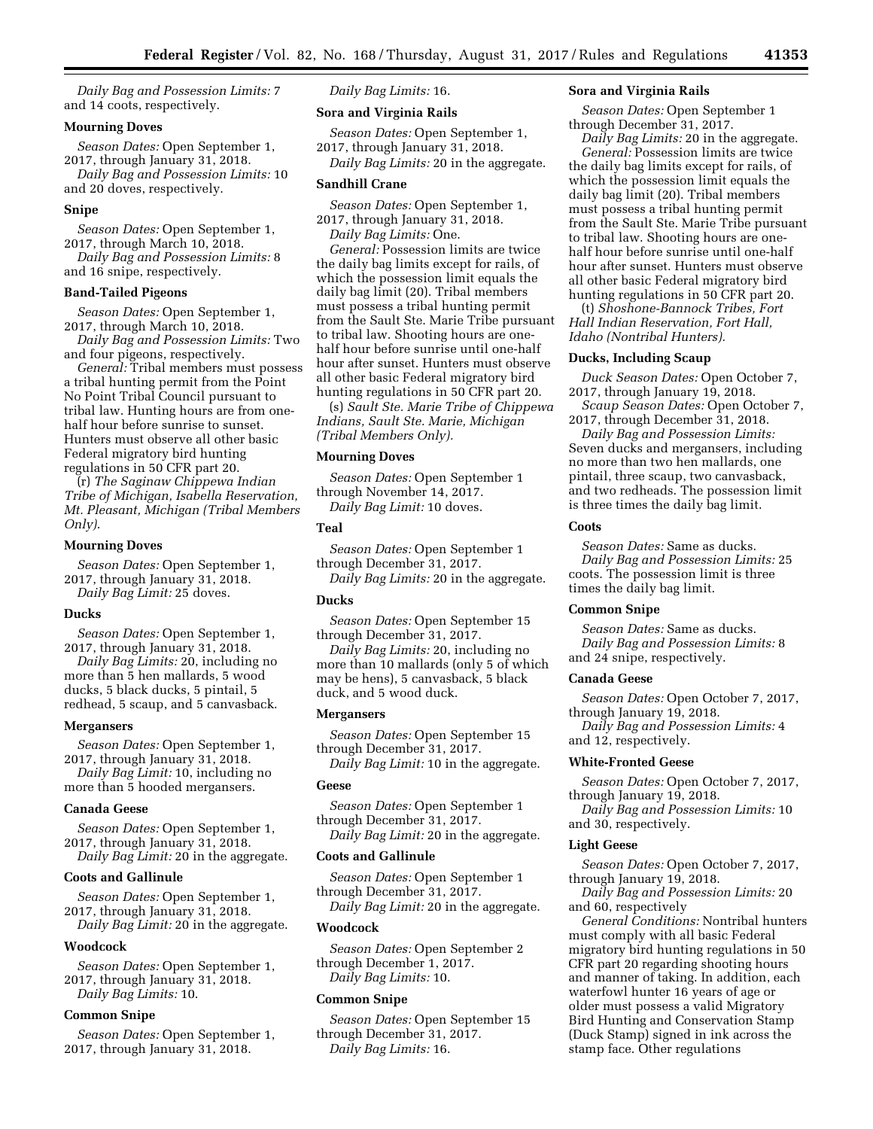*Daily Bag and Possession Limits:* 7 and 14 coots, respectively.

#### **Mourning Doves**

*Season Dates:* Open September 1, 2017, through January 31, 2018.

*Daily Bag and Possession Limits:* 10 and 20 doves, respectively.

### **Snipe**

*Season Dates:* Open September 1, 2017, through March 10, 2018.

*Daily Bag and Possession Limits:* 8 and 16 snipe, respectively.

#### **Band-Tailed Pigeons**

*Season Dates:* Open September 1, 2017, through March 10, 2018.

*Daily Bag and Possession Limits:* Two and four pigeons, respectively.

*General:* Tribal members must possess a tribal hunting permit from the Point No Point Tribal Council pursuant to tribal law. Hunting hours are from onehalf hour before sunrise to sunset. Hunters must observe all other basic Federal migratory bird hunting regulations in 50 CFR part 20.

(r) *The Saginaw Chippewa Indian Tribe of Michigan, Isabella Reservation, Mt. Pleasant, Michigan (Tribal Members Only)*.

### **Mourning Doves**

*Season Dates:* Open September 1, 2017, through January 31, 2018. *Daily Bag Limit:* 25 doves.

#### **Ducks**

*Season Dates:* Open September 1, 2017, through January 31, 2018.

*Daily Bag Limits:* 20, including no more than 5 hen mallards, 5 wood ducks, 5 black ducks, 5 pintail, 5 redhead, 5 scaup, and 5 canvasback.

### **Mergansers**

*Season Dates:* Open September 1, 2017, through January 31, 2018. *Daily Bag Limit:* 10, including no more than 5 hooded mergansers.

### **Canada Geese**

*Season Dates:* Open September 1, 2017, through January 31, 2018. *Daily Bag Limit:* 20 in the aggregate.

### **Coots and Gallinule**

*Season Dates:* Open September 1, 2017, through January 31, 2018. *Daily Bag Limit:* 20 in the aggregate.

#### **Woodcock**

*Season Dates:* Open September 1, 2017, through January 31, 2018. *Daily Bag Limits:* 10.

### **Common Snipe**

*Season Dates:* Open September 1, 2017, through January 31, 2018.

*Daily Bag Limits:* 16.

# **Sora and Virginia Rails**

*Season Dates:* Open September 1, 2017, through January 31, 2018. *Daily Bag Limits:* 20 in the aggregate.

### **Sandhill Crane**

*Season Dates:* Open September 1, 2017, through January 31, 2018.

*Daily Bag Limits:* One.

*General:* Possession limits are twice the daily bag limits except for rails, of which the possession limit equals the daily bag limit (20). Tribal members must possess a tribal hunting permit from the Sault Ste. Marie Tribe pursuant to tribal law. Shooting hours are onehalf hour before sunrise until one-half hour after sunset. Hunters must observe all other basic Federal migratory bird hunting regulations in 50 CFR part 20.

(s) *Sault Ste. Marie Tribe of Chippewa Indians, Sault Ste. Marie, Michigan (Tribal Members Only).* 

#### **Mourning Doves**

*Season Dates:* Open September 1 through November 14, 2017. *Daily Bag Limit:* 10 doves.

#### **Teal**

*Season Dates:* Open September 1 through December 31, 2017.

*Daily Bag Limits:* 20 in the aggregate.

# **Ducks**

*Season Dates:* Open September 15 through December 31, 2017.

*Daily Bag Limits:* 20, including no more than 10 mallards (only 5 of which may be hens), 5 canvasback, 5 black duck, and 5 wood duck.

### **Mergansers**

*Season Dates:* Open September 15 through December 31, 2017.

*Daily Bag Limit:* 10 in the aggregate.

# **Geese**

*Season Dates:* Open September 1 through December 31, 2017.

*Daily Bag Limit:* 20 in the aggregate.

# **Coots and Gallinule**

*Season Dates:* Open September 1 through December 31, 2017. *Daily Bag Limit:* 20 in the aggregate.

#### **Woodcock**

*Season Dates:* Open September 2 through December 1, 2017. *Daily Bag Limits:* 10.

#### **Common Snipe**

*Season Dates:* Open September 15 through December 31, 2017. *Daily Bag Limits:* 16.

### **Sora and Virginia Rails**

*Season Dates:* Open September 1 through December 31, 2017.

*Daily Bag Limits:* 20 in the aggregate. *General:* Possession limits are twice the daily bag limits except for rails, of which the possession limit equals the daily bag limit (20). Tribal members must possess a tribal hunting permit from the Sault Ste. Marie Tribe pursuant to tribal law. Shooting hours are onehalf hour before sunrise until one-half hour after sunset. Hunters must observe all other basic Federal migratory bird hunting regulations in 50 CFR part 20.

(t) *Shoshone-Bannock Tribes, Fort Hall Indian Reservation, Fort Hall, Idaho (Nontribal Hunters).* 

### **Ducks, Including Scaup**

*Duck Season Dates:* Open October 7, 2017, through January 19, 2018.

*Scaup Season Dates:* Open October 7, 2017, through December 31, 2018.

*Daily Bag and Possession Limits:*  Seven ducks and mergansers, including no more than two hen mallards, one pintail, three scaup, two canvasback, and two redheads. The possession limit is three times the daily bag limit.

#### **Coots**

*Season Dates:* Same as ducks. *Daily Bag and Possession Limits:* 25 coots. The possession limit is three times the daily bag limit.

### **Common Snipe**

*Season Dates:* Same as ducks. *Daily Bag and Possession Limits:* 8 and 24 snipe, respectively.

#### **Canada Geese**

*Season Dates:* Open October 7, 2017, through January 19, 2018.

*Daily Bag and Possession Limits:* 4 and 12, respectively.

#### **White-Fronted Geese**

*Season Dates:* Open October 7, 2017, through January 19, 2018.

*Daily Bag and Possession Limits:* 10 and 30, respectively.

### **Light Geese**

*Season Dates:* Open October 7, 2017, through January 19, 2018.

*Daily Bag and Possession Limits:* 20 and 60, respectively

*General Conditions:* Nontribal hunters must comply with all basic Federal migratory bird hunting regulations in 50 CFR part 20 regarding shooting hours and manner of taking. In addition, each waterfowl hunter 16 years of age or older must possess a valid Migratory Bird Hunting and Conservation Stamp (Duck Stamp) signed in ink across the stamp face. Other regulations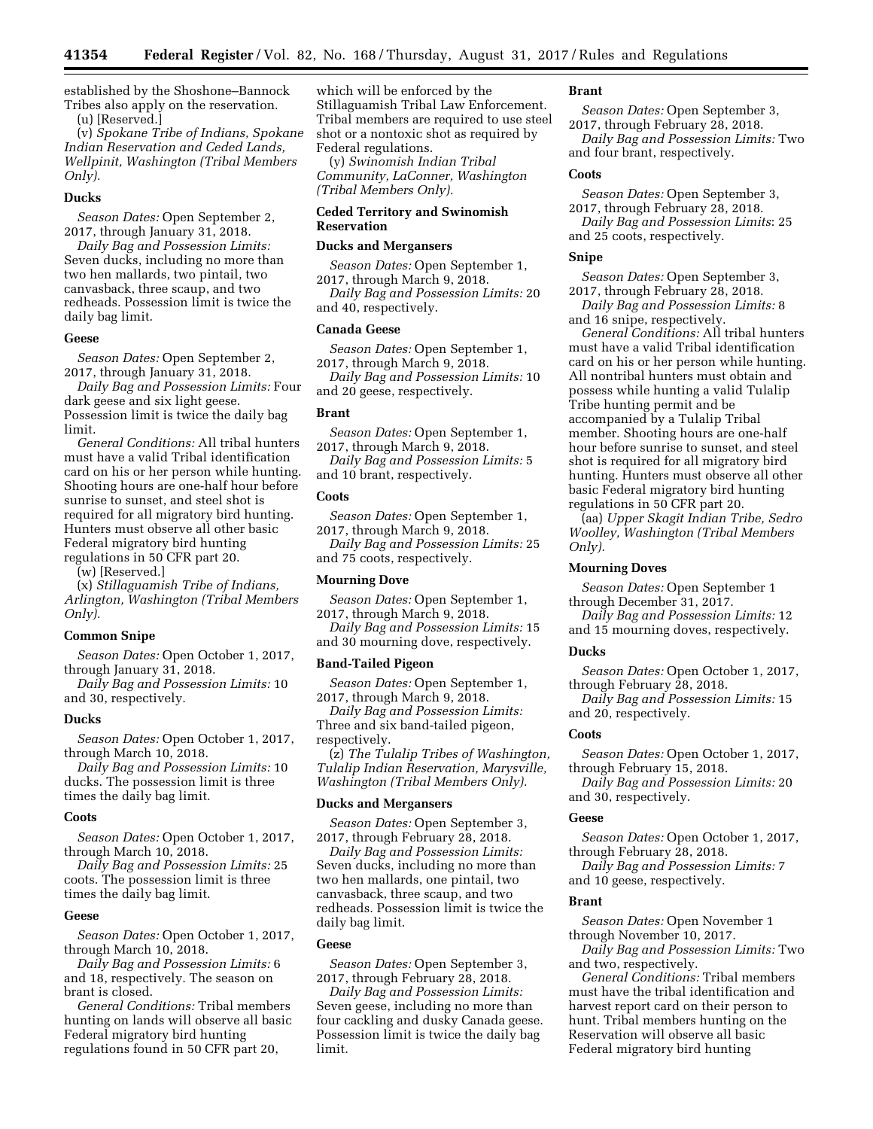established by the Shoshone–Bannock Tribes also apply on the reservation. (u) [Reserved.]

(v) *Spokane Tribe of Indians, Spokane Indian Reservation and Ceded Lands, Wellpinit, Washington (Tribal Members Only).* 

#### **Ducks**

*Season Dates:* Open September 2, 2017, through January 31, 2018.

*Daily Bag and Possession Limits:*  Seven ducks, including no more than two hen mallards, two pintail, two canvasback, three scaup, and two redheads. Possession limit is twice the daily bag limit.

#### **Geese**

*Season Dates:* Open September 2, 2017, through January 31, 2018.

*Daily Bag and Possession Limits:* Four dark geese and six light geese. Possession limit is twice the daily bag limit.

*General Conditions:* All tribal hunters must have a valid Tribal identification card on his or her person while hunting. Shooting hours are one-half hour before sunrise to sunset, and steel shot is required for all migratory bird hunting. Hunters must observe all other basic Federal migratory bird hunting regulations in 50 CFR part 20.

(w) [Reserved.]

(x) *Stillaguamish Tribe of Indians, Arlington, Washington (Tribal Members Only).* 

### **Common Snipe**

*Season Dates:* Open October 1, 2017, through January 31, 2018.

*Daily Bag and Possession Limits:* 10 and 30, respectively.

#### **Ducks**

*Season Dates:* Open October 1, 2017, through March 10, 2018.

*Daily Bag and Possession Limits:* 10 ducks. The possession limit is three times the daily bag limit.

#### **Coots**

*Season Dates:* Open October 1, 2017, through March 10, 2018.

*Daily Bag and Possession Limits:* 25 coots. The possession limit is three times the daily bag limit.

### **Geese**

*Season Dates:* Open October 1, 2017, through March 10, 2018.

*Daily Bag and Possession Limits:* 6 and 18, respectively. The season on brant is closed.

*General Conditions:* Tribal members hunting on lands will observe all basic Federal migratory bird hunting regulations found in 50 CFR part 20,

which will be enforced by the Stillaguamish Tribal Law Enforcement. Tribal members are required to use steel shot or a nontoxic shot as required by Federal regulations.

(y) *Swinomish Indian Tribal Community, LaConner, Washington (Tribal Members Only).* 

### **Ceded Territory and Swinomish Reservation**

#### **Ducks and Mergansers**

*Season Dates:* Open September 1, 2017, through March 9, 2018.

*Daily Bag and Possession Limits:* 20 and 40, respectively.

#### **Canada Geese**

*Season Dates:* Open September 1, 2017, through March 9, 2018. *Daily Bag and Possession Limits:* 10 and 20 geese, respectively.

#### **Brant**

*Season Dates:* Open September 1, 2017, through March 9, 2018.

*Daily Bag and Possession Limits:* 5 and 10 brant, respectively.

### **Coots**

*Season Dates:* Open September 1, 2017, through March 9, 2018. *Daily Bag and Possession Limits:* 25

and 75 coots, respectively.

# **Mourning Dove**

*Season Dates:* Open September 1, 2017, through March 9, 2018.

*Daily Bag and Possession Limits:* 15 and 30 mourning dove, respectively.

#### **Band-Tailed Pigeon**

*Season Dates:* Open September 1, 2017, through March 9, 2018.

*Daily Bag and Possession Limits:*  Three and six band-tailed pigeon, respectively.

(z) *The Tulalip Tribes of Washington, Tulalip Indian Reservation, Marysville, Washington (Tribal Members Only).* 

#### **Ducks and Mergansers**

*Season Dates:* Open September 3, 2017, through February 28, 2018.

*Daily Bag and Possession Limits:*  Seven ducks, including no more than two hen mallards, one pintail, two canvasback, three scaup, and two redheads. Possession limit is twice the daily bag limit.

#### **Geese**

*Season Dates:* Open September 3, 2017, through February 28, 2018.

*Daily Bag and Possession Limits:*  Seven geese, including no more than four cackling and dusky Canada geese. Possession limit is twice the daily bag limit.

### **Brant**

*Season Dates:* Open September 3, 2017, through February 28, 2018. *Daily Bag and Possession Limits:* Two and four brant, respectively.

#### **Coots**

*Season Dates:* Open September 3, 2017, through February 28, 2018.

*Daily Bag and Possession Limits*: 25 and 25 coots, respectively.

### **Snipe**

*Season Dates:* Open September 3, 2017, through February 28, 2018. *Daily Bag and Possession Limits:* 8

and 16 snipe, respectively. *General Conditions:* All tribal hunters must have a valid Tribal identification card on his or her person while hunting. All nontribal hunters must obtain and possess while hunting a valid Tulalip Tribe hunting permit and be accompanied by a Tulalip Tribal member. Shooting hours are one-half hour before sunrise to sunset, and steel shot is required for all migratory bird hunting. Hunters must observe all other basic Federal migratory bird hunting regulations in 50 CFR part 20.

(aa) *Upper Skagit Indian Tribe, Sedro Woolley, Washington (Tribal Members Only).* 

### **Mourning Doves**

*Season Dates:* Open September 1 through December 31, 2017.

*Daily Bag and Possession Limits:* 12 and 15 mourning doves, respectively.

### **Ducks**

*Season Dates:* Open October 1, 2017, through February 28, 2018.

*Daily Bag and Possession Limits:* 15 and 20, respectively.

### **Coots**

*Season Dates:* Open October 1, 2017, through February 15, 2018.

*Daily Bag and Possession Limits:* 20 and 30, respectively.

#### **Geese**

*Season Dates:* Open October 1, 2017, through February 28, 2018.

*Daily Bag and Possession Limits:* 7 and 10 geese, respectively.

#### **Brant**

*Season Dates:* Open November 1 through November 10, 2017.

*Daily Bag and Possession Limits:* Two and two, respectively.

*General Conditions:* Tribal members must have the tribal identification and harvest report card on their person to hunt. Tribal members hunting on the Reservation will observe all basic Federal migratory bird hunting